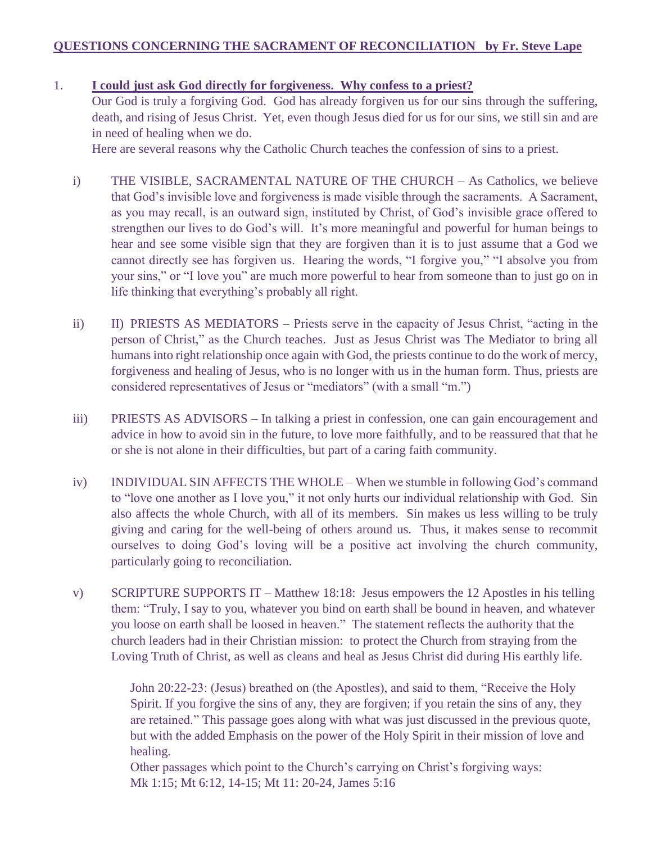## **QUESTIONS CONCERNING THE SACRAMENT OF RECONCILIATION by Fr. Steve Lape**

## 1. **I could just ask God directly for forgiveness. Why confess to a priest?**

Our God is truly a forgiving God. God has already forgiven us for our sins through the suffering, death, and rising of Jesus Christ. Yet, even though Jesus died for us for our sins, we still sin and are in need of healing when we do.

Here are several reasons why the Catholic Church teaches the confession of sins to a priest.

- i) THE VISIBLE, SACRAMENTAL NATURE OF THE CHURCH As Catholics, we believe that God's invisible love and forgiveness is made visible through the sacraments. A Sacrament, as you may recall, is an outward sign, instituted by Christ, of God's invisible grace offered to strengthen our lives to do God's will. It's more meaningful and powerful for human beings to hear and see some visible sign that they are forgiven than it is to just assume that a God we cannot directly see has forgiven us. Hearing the words, "I forgive you," "I absolve you from your sins," or "I love you" are much more powerful to hear from someone than to just go on in life thinking that everything's probably all right.
- ii) II) PRIESTS AS MEDIATORS Priests serve in the capacity of Jesus Christ, "acting in the person of Christ," as the Church teaches. Just as Jesus Christ was The Mediator to bring all humans into right relationship once again with God, the priests continue to do the work of mercy, forgiveness and healing of Jesus, who is no longer with us in the human form. Thus, priests are considered representatives of Jesus or "mediators" (with a small "m.")
- iii) PRIESTS AS ADVISORS In talking a priest in confession, one can gain encouragement and advice in how to avoid sin in the future, to love more faithfully, and to be reassured that that he or she is not alone in their difficulties, but part of a caring faith community.
- iv) INDIVIDUAL SIN AFFECTS THE WHOLE When we stumble in following God's command to "love one another as I love you," it not only hurts our individual relationship with God. Sin also affects the whole Church, with all of its members. Sin makes us less willing to be truly giving and caring for the well-being of others around us. Thus, it makes sense to recommit ourselves to doing God's loving will be a positive act involving the church community, particularly going to reconciliation.
- v) SCRIPTURE SUPPORTS IT Matthew 18:18: Jesus empowers the 12 Apostles in his telling them: "Truly, I say to you, whatever you bind on earth shall be bound in heaven, and whatever you loose on earth shall be loosed in heaven." The statement reflects the authority that the church leaders had in their Christian mission: to protect the Church from straying from the Loving Truth of Christ, as well as cleans and heal as Jesus Christ did during His earthly life.

John 20:22-23: (Jesus) breathed on (the Apostles), and said to them, "Receive the Holy Spirit. If you forgive the sins of any, they are forgiven; if you retain the sins of any, they are retained." This passage goes along with what was just discussed in the previous quote, but with the added Emphasis on the power of the Holy Spirit in their mission of love and healing.

Other passages which point to the Church's carrying on Christ's forgiving ways: Mk 1:15; Mt 6:12, 14-15; Mt 11: 20-24, James 5:16